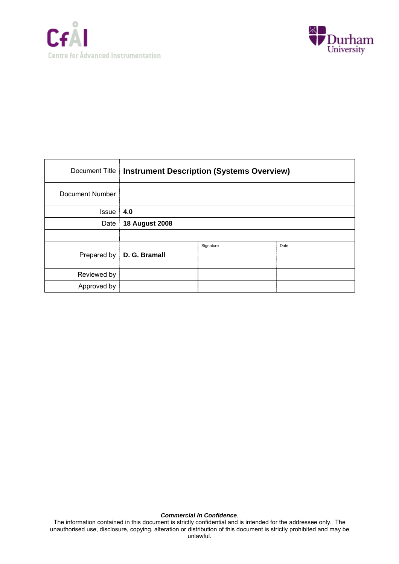



| Document Title  | <b>Instrument Description (Systems Overview)</b> |           |      |  |  |
|-----------------|--------------------------------------------------|-----------|------|--|--|
| Document Number |                                                  |           |      |  |  |
| <b>Issue</b>    | 4.0                                              |           |      |  |  |
| Date            | <b>18 August 2008</b>                            |           |      |  |  |
|                 |                                                  |           |      |  |  |
| Prepared by     | D. G. Bramall                                    | Signature | Date |  |  |
| Reviewed by     |                                                  |           |      |  |  |
| Approved by     |                                                  |           |      |  |  |

#### *Commercial In Confidence*.

The information contained in this document is strictly confidential and is intended for the addressee only. The unauthorised use, disclosure, copying, alteration or distribution of this document is strictly prohibited and may be unlawful.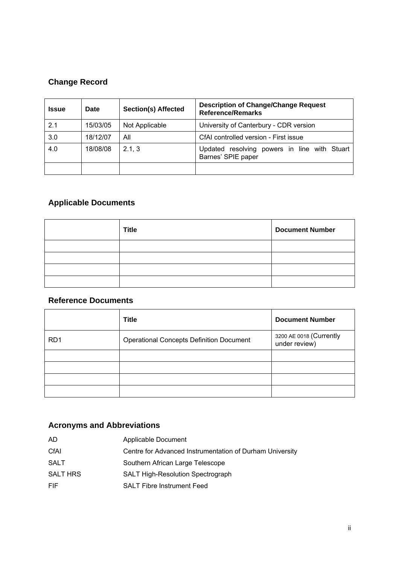# **Change Record**

| <b>Issue</b> | <b>Date</b> | <b>Section(s) Affected</b> | <b>Description of Change/Change Request</b><br><b>Reference/Remarks</b>  |  |  |  |  |
|--------------|-------------|----------------------------|--------------------------------------------------------------------------|--|--|--|--|
| 2.1          | 15/03/05    | Not Applicable             | University of Canterbury - CDR version                                   |  |  |  |  |
| 3.0          | 18/12/07    | All                        | CfAI controlled version - First issue                                    |  |  |  |  |
| 4.0          | 18/08/08    | 2.1, 3                     | resolving<br>powers in line with Stuart<br>Updated<br>Barnes' SPIE paper |  |  |  |  |
|              |             |                            |                                                                          |  |  |  |  |

# **Applicable Documents**

| <b>Title</b> | <b>Document Number</b> |
|--------------|------------------------|
|              |                        |
|              |                        |
|              |                        |
|              |                        |

# **Reference Documents**

|                  | <b>Title</b>                                    | <b>Document Number</b>                   |
|------------------|-------------------------------------------------|------------------------------------------|
| R <sub>D</sub> 1 | <b>Operational Concepts Definition Document</b> | 3200 AE 0018 (Currently<br>under review) |
|                  |                                                 |                                          |
|                  |                                                 |                                          |
|                  |                                                 |                                          |
|                  |                                                 |                                          |

# **Acronyms and Abbreviations**

| AD.             | Applicable Document                                      |
|-----------------|----------------------------------------------------------|
| CfAI            | Centre for Advanced Instrumentation of Durham University |
| SALT            | Southern African Large Telescope                         |
| <b>SALT HRS</b> | <b>SALT High-Resolution Spectrograph</b>                 |
| FIF.            | <b>SALT Fibre Instrument Feed</b>                        |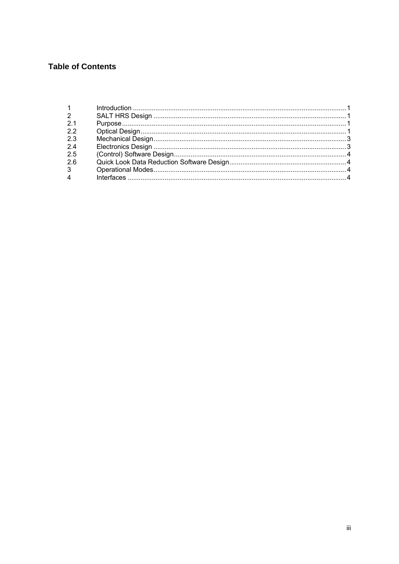# **Table of Contents**

| $1 \quad \blacksquare$ |  |
|------------------------|--|
| $\overline{2}$         |  |
| 2.1                    |  |
| 22                     |  |
| 2.3                    |  |
| 24                     |  |
| 2.5                    |  |
| 2.6                    |  |
| $3^{\circ}$            |  |
| $\overline{4}$         |  |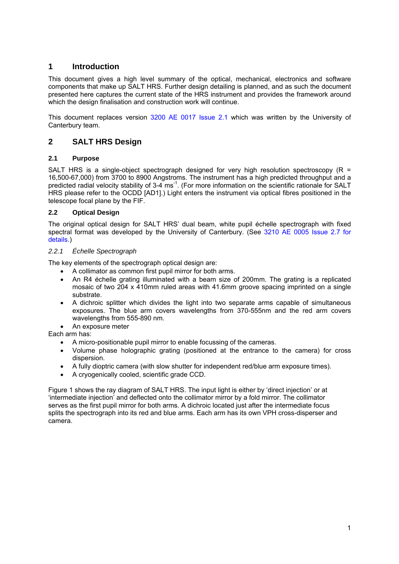## **1 Introduction**

This document gives a high level summary of the optical, mechanical, electronics and software components that make up SALT HRS. Further design detailing is planned, and as such the document presented here captures the current state of the HRS instrument and provides the framework around which the design finalisation and construction work will continue.

This document replaces version 3200 AE 0017 Issue 2.1 which was written by the University of Canterbury team.

## **2 SALT HRS Design**

#### **2.1 Purpose**

SALT HRS is a single-object spectrograph designed for very high resolution spectroscopy (R = 16,500-67,000) from 3700 to 8900 Angstroms. The instrument has a high predicted throughput and a predicted radial velocity stability of 3-4 ms<sup>-1</sup>. (For more information on the scientific rationale for SALT HRS please refer to the OCDD [AD1].) Light enters the instrument via optical fibres positioned in the telescope focal plane by the FIF.

### **2.2 Optical Design**

The original optical design for SALT HRS' dual beam, white pupil échelle spectrograph with fixed spectral format was developed by the University of Canterbury. (See 3210 AE 0005 Issue 2.7 for details.)

### *2.2.1 Échelle Spectrograph*

The key elements of the spectrograph optical design are:

- A collimator as common first pupil mirror for both arms.
- An R4 échelle grating illuminated with a beam size of 200mm. The grating is a replicated mosaic of two 204 x 410mm ruled areas with 41.6mm groove spacing imprinted on a single substrate.
- A dichroic splitter which divides the light into two separate arms capable of simultaneous exposures. The blue arm covers wavelengths from 370-555nm and the red arm covers wavelengths from 555-890 nm.
- An exposure meter

Each arm has:

- A micro-positionable pupil mirror to enable focussing of the cameras.
- Volume phase holographic grating (positioned at the entrance to the camera) for cross dispersion.
- A fully dioptric camera (with slow shutter for independent red/blue arm exposure times).
- A cryogenically cooled, scientific grade CCD.

Figure 1 shows the ray diagram of SALT HRS. The input light is either by 'direct injection' or at 'intermediate injection' and deflected onto the collimator mirror by a fold mirror. The collimator serves as the first pupil mirror for both arms. A dichroic located just after the intermediate focus splits the spectrograph into its red and blue arms. Each arm has its own VPH cross-disperser and camera.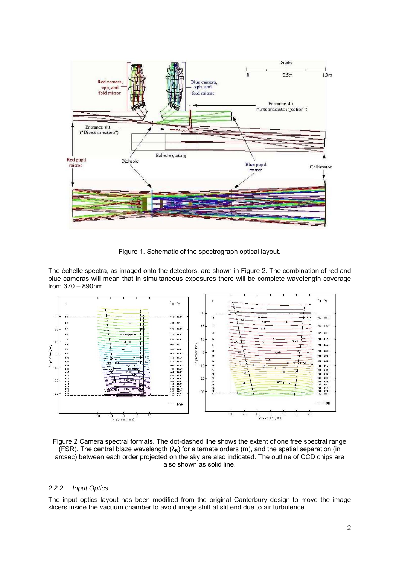

Figure 1. Schematic of the spectrograph optical layout.

The échelle spectra, as imaged onto the detectors, are shown in Figure 2. The combination of red and blue cameras will mean that in simultaneous exposures there will be complete wavelength coverage from 370 – 890nm.



Figure 2 Camera spectral formats. The dot-dashed line shows the extent of one free spectral range (FSR). The central blaze wavelength  $(\lambda_B)$  for alternate orders (m), and the spatial separation (in arcsec) between each order projected on the sky are also indicated. The outline of CCD chips are also shown as solid line.

#### *2.2.2 Input Optics*

The input optics layout has been modified from the original Canterbury design to move the image slicers inside the vacuum chamber to avoid image shift at slit end due to air turbulence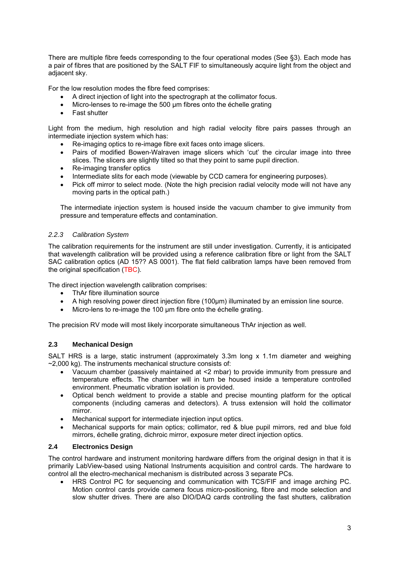There are multiple fibre feeds corresponding to the four operational modes (See §3). Each mode has a pair of fibres that are positioned by the SALT FIF to simultaneously acquire light from the object and adjacent sky.

For the low resolution modes the fibre feed comprises:

- A direct injection of light into the spectrograph at the collimator focus.
- Micro-lenses to re-image the 500 um fibres onto the échelle grating
- Fast shutter

Light from the medium, high resolution and high radial velocity fibre pairs passes through an intermediate injection system which has:

- Re-imaging optics to re-image fibre exit faces onto image slicers.
- Pairs of modified Bowen-Walraven image slicers which 'cut' the circular image into three slices. The slicers are slightly tilted so that they point to same pupil direction.
- Re-imaging transfer optics
- Intermediate slits for each mode (viewable by CCD camera for engineering purposes).
- Pick off mirror to select mode. (Note the high precision radial velocity mode will not have any moving parts in the optical path.)

The intermediate injection system is housed inside the vacuum chamber to give immunity from pressure and temperature effects and contamination.

#### *2.2.3 Calibration System*

The calibration requirements for the instrument are still under investigation. Currently, it is anticipated that wavelength calibration will be provided using a reference calibration fibre or light from the SALT SAC calibration optics (AD 15?? AS 0001). The flat field calibration lamps have been removed from the original specification (TBC).

The direct injection wavelength calibration comprises:

- ThAr fibre illumination source
- A high resolving power direct injection fibre (100µm) illuminated by an emission line source.
- Micro-lens to re-image the 100 µm fibre onto the échelle grating.

The precision RV mode will most likely incorporate simultaneous ThAr injection as well.

#### **2.3 Mechanical Design**

SALT HRS is a large, static instrument (approximately 3.3m long x 1.1m diameter and weighing  $\sim$ 2,000 kg). The instruments mechanical structure consists of:

- Vacuum chamber (passively maintained at <2 mbar) to provide immunity from pressure and temperature effects. The chamber will in turn be housed inside a temperature controlled environment. Pneumatic vibration isolation is provided.
- Optical bench weldment to provide a stable and precise mounting platform for the optical components (including cameras and detectors). A truss extension will hold the collimator mirror.
- Mechanical support for intermediate injection input optics.
- Mechanical supports for main optics; collimator, red & blue pupil mirrors, red and blue fold mirrors, échelle grating, dichroic mirror, exposure meter direct injection optics.

#### **2.4 Electronics Design**

The control hardware and instrument monitoring hardware differs from the original design in that it is primarily LabView-based using National Instruments acquisition and control cards. The hardware to control all the electro-mechanical mechanism is distributed across 3 separate PCs.

• HRS Control PC for sequencing and communication with TCS/FIF and image arching PC. Motion control cards provide camera focus micro-positioning, fibre and mode selection and slow shutter drives. There are also DIO/DAQ cards controlling the fast shutters, calibration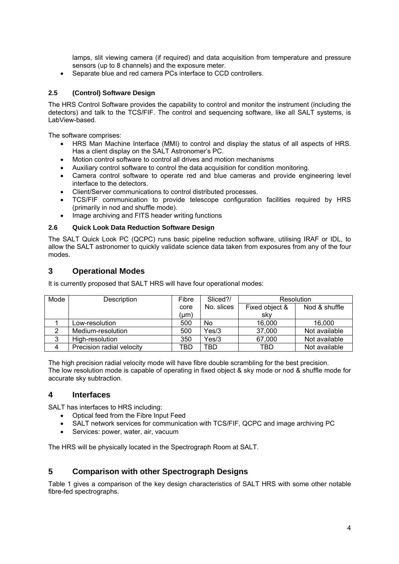lamps, slit viewing camera (if required) and data acquisition from temperature and pressure sensors (up to 8 channels) and the exposure meter.

• Separate blue and red camera PCs interface to CCD controllers.

#### **2.5 (Control) Software Design**

The HRS Control Software provides the capability to control and monitor the instrument (including the detectors) and talk to the TCS/FIF. The control and sequencing software, like all SALT systems, is LabView-based.

The software comprises:

- HRS Man Machine Interface (MMI) to control and display the status of all aspects of HRS. Has a client display on the SALT Astronomer's PC.
- Motion control software to control all drives and motion mechanisms
- Auxiliary control software to control the data acquisition for condition monitoring.
- Camera control software to operate red and blue cameras and provide engineering level interface to the detectors.
- Client/Server communications to control distributed processes.
- TCS/FIF communication to provide telescope configuration facilities required by HRS (primarily in nod and shuffle mode).
- Image archiving and FITS header writing functions

#### **2.6 Quick Look Data Reduction Software Design**

The SALT Quick Look PC (QCPC) runs basic pipeline reduction software, utilising IRAF or IDL, to allow the SALT astronomer to quickly validate science data taken from exposures from any of the four modes.

## **3 Operational Modes**

It is currently proposed that SALT HRS will have four operational modes:

| Mode | Description               | Fibre | Sliced?/   | Resolution     |               |
|------|---------------------------|-------|------------|----------------|---------------|
|      |                           | core  | No. slices | Fixed object & | Nod & shuffle |
|      |                           | (µm)  |            | sky            |               |
|      | Low-resolution            | 500   | No         | 16,000         | 16,000        |
|      | Medium-resolution         | 500   | Yes/3      | 37,000         | Not available |
| 3    | High-resolution           | 350   | Yes/3      | 67,000         | Not available |
| 4    | Precision radial velocity | TBD   | TBD        | TBD            | Not available |

The high precision radial velocity mode will have fibre double scrambling for the best precision. The low resolution mode is capable of operating in fixed object & sky mode or nod & shuffle mode for accurate sky subtraction.

#### **4 Interfaces**

SALT has interfaces to HRS including:

- Optical feed from the Fibre Input Feed
- SALT network services for communication with TCS/FIF, QCPC and image archiving PC
- Services: power, water, air, vacuum

The HRS will be physically located in the Spectrograph Room at SALT.

## **5 Comparison with other Spectrograph Designs**

Table 1 gives a comparison of the key design characteristics of SALT HRS with some other notable fibre-fed spectrographs.